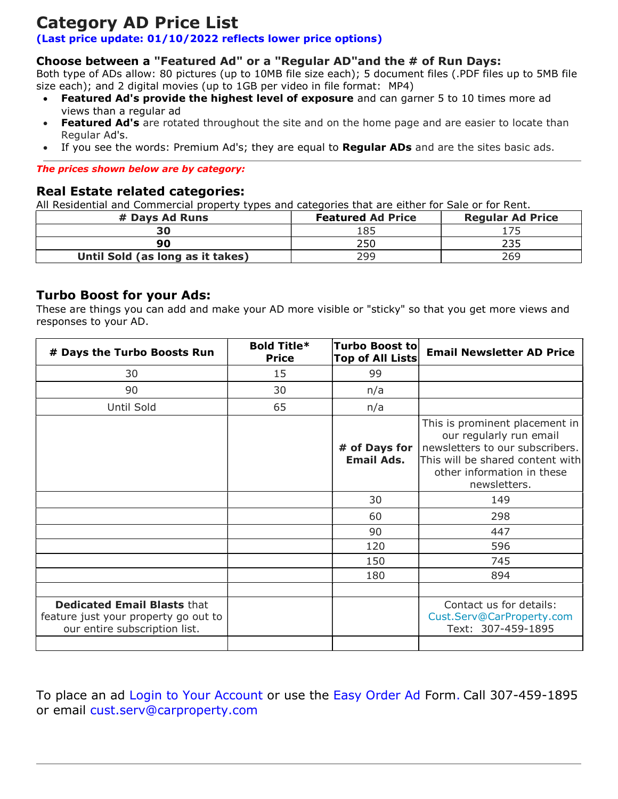# Category AD Price List

#### (Last price update: 01/10/2022 reflects lower price options)

#### Choose between a "Featured Ad" or a "Regular AD"and the # of Run Days:

Both type of ADs allow: 80 pictures (up to 10MB file size each); 5 document files (.PDF files up to 5MB file size each); and 2 digital movies (up to 1GB per video in file format: MP4)

- Featured Ad's provide the highest level of exposure and can garner 5 to 10 times more ad views than a regular ad
- Featured Ad's are rotated throughout the site and on the home page and are easier to locate than Regular Ad's.
- If you see the words: Premium Ad's; they are equal to Regular ADs and are the sites basic ads.

#### The prices shown below are by category:

#### Real Estate related categories:

All Residential and Commercial property types and categories that are either for Sale or for Rent.

| # Days Ad Runs                   | <b>Featured Ad Price</b> | <b>Regular Ad Price</b> |
|----------------------------------|--------------------------|-------------------------|
| 30                               | 185                      |                         |
| ۹N                               | 250                      |                         |
| Until Sold (as long as it takes) | 299                      | 269                     |

#### Turbo Boost for your Ads:

These are things you can add and make your AD more visible or "sticky" so that you get more views and responses to your AD.

| # Days the Turbo Boosts Run                                                                                 | <b>Bold Title*</b><br><b>Price</b> | <b>Turbo Boost to</b><br><b>Top of All Lists</b> | <b>Email Newsletter AD Price</b>                                                                                                                                               |
|-------------------------------------------------------------------------------------------------------------|------------------------------------|--------------------------------------------------|--------------------------------------------------------------------------------------------------------------------------------------------------------------------------------|
| 30                                                                                                          | 15                                 | 99                                               |                                                                                                                                                                                |
| 90                                                                                                          | 30                                 | n/a                                              |                                                                                                                                                                                |
| Until Sold                                                                                                  | 65                                 | n/a                                              |                                                                                                                                                                                |
|                                                                                                             |                                    | # of Days for  <br><b>Email Ads.</b>             | This is prominent placement in<br>our regularly run email<br>newsletters to our subscribers.<br>This will be shared content with<br>other information in these<br>newsletters. |
|                                                                                                             |                                    | 30                                               | 149                                                                                                                                                                            |
|                                                                                                             |                                    | 60                                               | 298                                                                                                                                                                            |
|                                                                                                             |                                    | 90                                               | 447                                                                                                                                                                            |
|                                                                                                             |                                    | 120                                              | 596                                                                                                                                                                            |
|                                                                                                             |                                    | 150                                              | 745                                                                                                                                                                            |
|                                                                                                             |                                    | 180                                              | 894                                                                                                                                                                            |
|                                                                                                             |                                    |                                                  |                                                                                                                                                                                |
| <b>Dedicated Email Blasts that</b><br>feature just your property go out to<br>our entire subscription list. |                                    |                                                  | Contact us for details:<br>Cust.Serv@CarProperty.com<br>Text: 307-459-1895                                                                                                     |
|                                                                                                             |                                    |                                                  |                                                                                                                                                                                |

To place an ad Login to Your Account or use the Easy Order Ad Form. Call 307-459-1895 or email cust.serv@carproperty.com